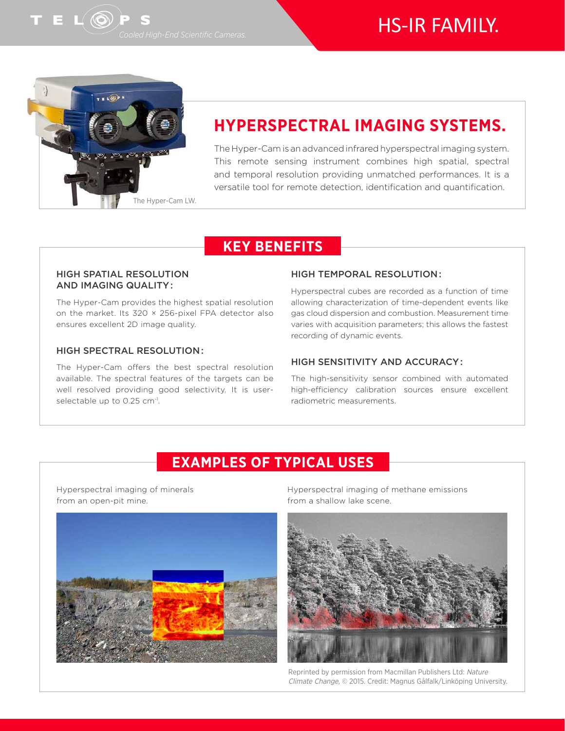# HS-IR FAMILY.



# **HYPERSPECTRAL IMAGING SYSTEMS.**

The Hyper-Cam is an advanced infrared hyperspectral imaging system. This remote sensing instrument combines high spatial, spectral and temporal resolution providing unmatched performances. It is a versatile tool for remote detection, identification and quantification.

### **KEY BENEFITS**

#### HIGH SPATIAL RESOLUTION AND IMAGING QUALITY :

The Hyper-Cam provides the highest spatial resolution on the market. Its 320 × 256-pixel FPA detector also ensures excellent 2D image quality.

#### HIGH SPECTRAL RESOLUTION :

The Hyper-Cam offers the best spectral resolution available. The spectral features of the targets can be well resolved providing good selectivity. It is userselectable up to 0.25 cm<sup>-1</sup>.

#### HIGH TEMPORAL RESOLUTION :

Hyperspectral cubes are recorded as a function of time allowing characterization of time-dependent events like gas cloud dispersion and combustion. Measurement time varies with acquisition parameters; this allows the fastest recording of dynamic events.

#### HIGH SENSITIVITY AND ACCURACY :

The high-sensitivity sensor combined with automated high-efficiency calibration sources ensure excellent radiometric measurements.

### **EXAMPLES OF TYPICAL USES**

Hyperspectral imaging of minerals from an open-pit mine.



Hyperspectral imaging of methane emissions from a shallow lake scene.



Reprinted by permission from Macmillan Publishers Ltd: Nature Climate Change, © 2015. Credit: Magnus Gålfalk/Linköping University.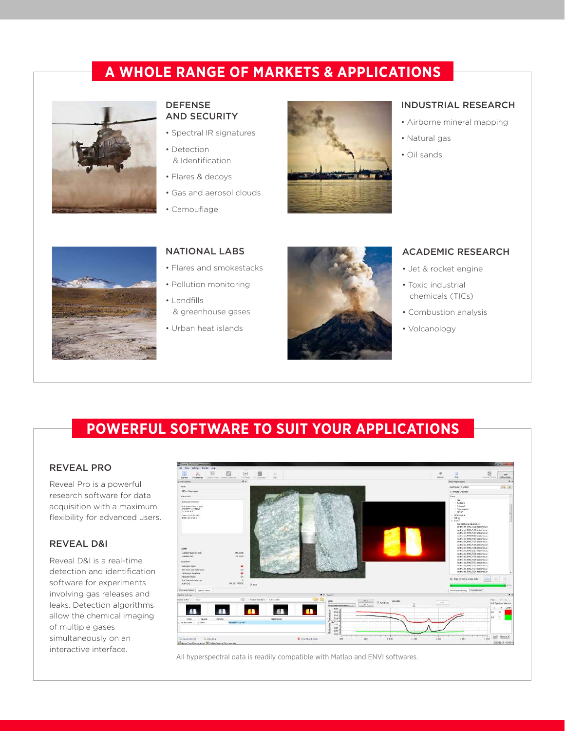### **A WHOLE RANGE OF MARKETS & APPLICATIONS**



#### DEFENSE AND SECURITY

- Spectral IR signatures
- Detection & Identification
- Flares & decoys
- Gas and aerosol clouds
- Camouflage



#### INDUSTRIAL RESEARCH

- Airborne mineral mapping
- Natural gas
- Oil sands



#### NATIONAL LABS

- Flares and smokestacks
- Pollution monitoring
- Landfills & greenhouse gases
- Urban heat islands



#### ACADEMIC RESEARCH

- Jet & rocket engine
- Toxic industrial chemicals (TICs)
- Combustion analysis
- Volcanology

# **POWERFUL SOFTWARE TO SUIT YOUR APPLICATIONS**

#### REVEAL PRO

Reveal Pro is a powerful research software for data acquisition with a maximum flexibility for advanced users.

#### REVEAL D&I

Reveal D&I is a real-time detection and identification software for experiments involving gas releases and leaks. Detection algorithms allow the chemical imaging of multiple gases simultaneously on an interactive interface.



All hyperspectral data is readily compatible with Matlab and ENVI softwares.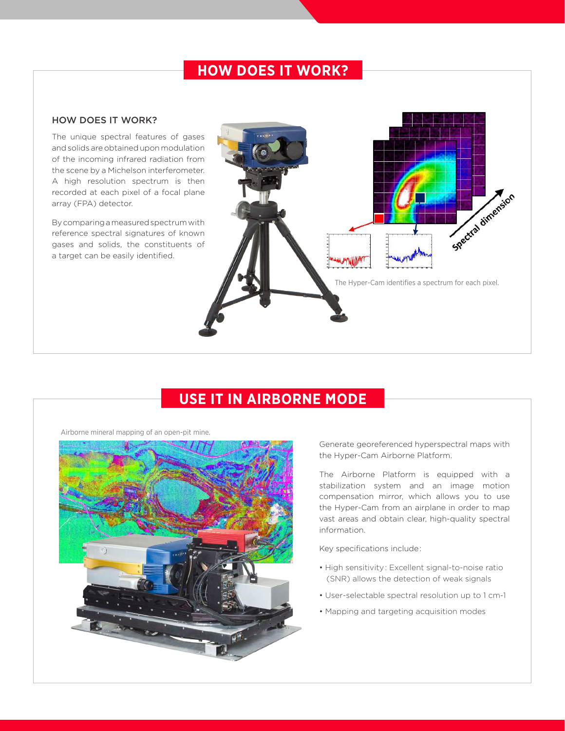### **HOW DOES IT WORK?**

#### HOW DOES IT WORK?

The unique spectral features of gases and solids are obtained upon modulation of the incoming infrared radiation from the scene by a Michelson interferometer. A high resolution spectrum is then recorded at each pixel of a focal plane array (FPA) detector.

By comparing a measured spectrum with reference spectral signatures of known gases and solids, the constituents of a target can be easily identified.



# **USE IT IN AIRBORNE MODE**



Airborne mineral mapping of an open-pit mine.

Generate georeferenced hyperspectral maps with the Hyper-Cam Airborne Platform.

The Airborne Platform is equipped with a stabilization system and an image motion compensation mirror, which allows you to use the Hyper-Cam from an airplane in order to map vast areas and obtain clear, high-quality spectral information.

Key specifications include :

- High sensitivity : Excellent signal-to-noise ratio (SNR) allows the detection of weak signals
- User-selectable spectral resolution up to 1 cm-1
- Mapping and targeting acquisition modes